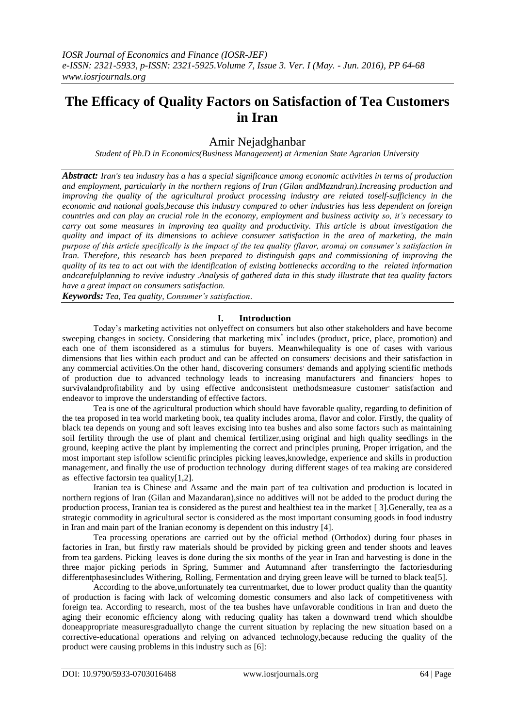# **The Efficacy of Quality Factors on Satisfaction of Tea Customers in Iran**

# Amir Nejadghanbar

*Student of Ph.D in Economics(Business Management) at Armenian State Agrarian University*

*Abstract: Iran's tea industry has a has a special significance among economic activities in terms of production and employment, particularly in the northern regions of Iran (Gilan andMazndran).Increasing production and improving the quality of the agricultural product processing industry are related toself-sufficiency in the economic and national goals,because this industry compared to other industries has less dependent on foreign countries and can play an crucial role in the economy, employment and business activity so, it's necessary to carry out some measures in improving tea quality and productivity. This article is about investigation the quality and impact of its dimensions to achieve consumer satisfaction in the area of marketing, the main purpose of this article specifically is the impact of the tea quality (flavor, aroma) on consumer's satisfaction in Iran. Therefore, this research has been prepared to distinguish gaps and commissioning of improving the quality of its tea to act out with the identification of existing bottlenecks according to the related information andcarefulplanning to revive industry .Analysis of gathered data in this study illustrate that tea quality factors have a great impact on consumers satisfaction.* 

*Keywords: Tea, Tea quality, Consumer's satisfaction*.

## **I. Introduction**

Today's marketing activities not onlyeffect on consumers but also other stakeholders and have become sweeping changes in society. Considering that marketing mix<sup>\*</sup> includes (product, price, place, promotion) and each one of them isconsidered as a stimulus for buyers. Meanwhilequality is one of cases with various dimensions that lies within each product and can be affected on consumers' decisions and their satisfaction in any commercial activities. On the other hand, discovering consumers' demands and applying scientific methods of production due to advanced technology leads to increasing manufacturers and financiers' hopes to survivalandprofitability and by using effective andconsistent methodsmeasure customer' satisfaction and endeavor to improve the understanding of effective factors.

Tea is one of the agricultural production which should have favorable quality, regarding to definition of the tea proposed in tea world marketing book, tea quality includes aroma, flavor and color. Firstly, the quality of black tea depends on young and soft leaves excising into tea bushes and also some factors such as maintaining soil fertility through the use of plant and chemical fertilizer,using original and high quality seedlings in the ground, keeping active the plant by implementing the correct and principles pruning, Proper irrigation, and the most important step isfollow scientific principles picking leaves,knowledge, experience and skills in production management, and finally the use of production technology during different stages of tea making are considered as effective factorsin tea quality[1,2].

Iranian tea is Chinese and Assame and the main part of tea cultivation and production is located in northern regions of Iran (Gilan and Mazandaran),since no additives will not be added to the product during the production process, Iranian tea is considered as the purest and healthiest tea in the market [ 3].Generally, tea as a strategic commodity in agricultural sector is considered as the most important consuming goods in food industry in Iran and main part of the Iranian economy is dependent on this industry [4].

Tea processing operations are carried out by the official method (Orthodox) during four phases in factories in Iran, but firstly raw materials should be provided by picking green and tender shoots and leaves from tea gardens. Picking leaves is done during the six months of the year in Iran and harvesting is done in the three major picking periods in Spring, Summer and Autumnand after transferringto the factoriesduring differentphasesincludes Withering, Rolling, Fermentation and drying green leave will be turned to black tea[5].

According to the above,unfortunately tea currentmarket, due to lower product quality than the quantity of production is facing with lack of welcoming domestic consumers and also lack of competitiveness with foreign tea. According to research, most of the tea bushes have unfavorable conditions in Iran and dueto the aging their economic efficiency along with reducing quality has taken a downward trend which shouldbe doneappropriate measuresgraduallyto change the current situation by replacing the new situation based on a corrective-educational operations and relying on advanced technology,because reducing the quality of the product were causing problems in this industry such as [6]: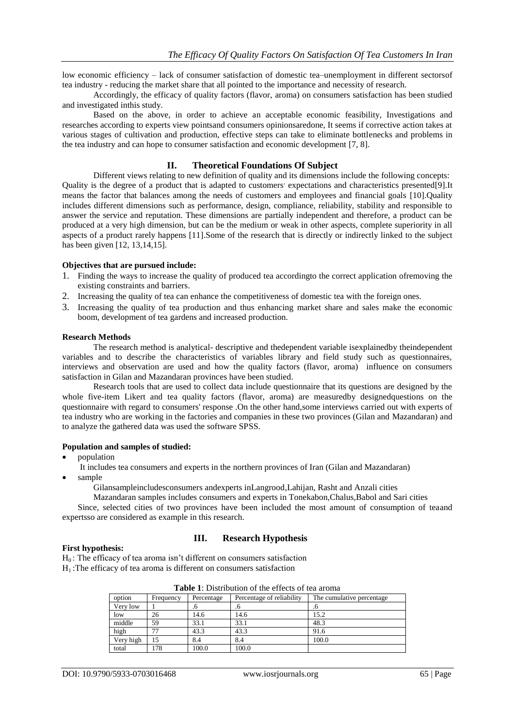low economic efficiency – lack of consumer satisfaction of domestic tea–unemployment in different sectorsof tea industry - reducing the market share that all pointed to the importance and necessity of research.

Accordingly, the efficacy of quality factors (flavor, aroma) on consumers satisfaction has been studied and investigated inthis study.

Based on the above, in order to achieve an acceptable economic feasibility, Investigations and researches according to experts view pointsand consumers opinionsaredone, It seems if corrective action takes at various stages of cultivation and production, effective steps can take to eliminate bottlenecks and problems in the tea industry and can hope to consumer satisfaction and economic development [7, 8].

## **II. Theoretical Foundations Of Subject**

Different views relating to new definition of quality and its dimensions include the following concepts: Quality is the degree of a product that is adapted to customers' expectations and characteristics presented[9].It means the factor that balances among the needs of customers and employees and financial goals [10].Quality includes different dimensions such as performance, design, compliance, reliability, stability and responsible to answer the service and reputation. These dimensions are partially independent and therefore, a product can be produced at a very high dimension, but can be the medium or weak in other aspects, complete superiority in all aspects of a product rarely happens [11].Some of the research that is directly or indirectly linked to the subject has been given [12, 13,14,15].

#### **Objectives that are pursued include:**

- 1. Finding the ways to increase the quality of produced tea accordingto the correct application ofremoving the existing constraints and barriers.
- 2. Increasing the quality of tea can enhance the competitiveness of domestic tea with the foreign ones.
- 3. Increasing the quality of tea production and thus enhancing market share and sales make the economic boom, development of tea gardens and increased production.

#### **Research Methods**

The research method is analytical- descriptive and thedependent variable isexplainedby theindependent variables and to describe the characteristics of variables library and field study such as questionnaires, interviews and observation are used and how the quality factors (flavor, aroma) influence on consumers satisfaction in Gilan and Mazandaran provinces have been studied.

Research tools that are used to collect data include questionnaire that its questions are designed by the whole five-item Likert and tea quality factors (flavor, aroma) are measuredby designedquestions on the questionnaire with regard to consumers' response .On the other hand,some interviews carried out with experts of tea industry who are working in the factories and companies in these two provinces (Gilan and Mazandaran) and to analyze the gathered data was used the software SPSS.

#### **Population and samples of studied:**

- population
	- It includes tea consumers and experts in the northern provinces of Iran (Gilan and Mazandaran)
- sample

Gilansampleincludesconsumers andexperts inLangrood,Lahijan, Rasht and Anzali cities

Mazandaran samples includes consumers and experts in Tonekabon,Chalus,Babol and Sari cities Since, selected cities of two provinces have been included the most amount of consumption of teaand expertsso are considered as example in this research.

#### **First hypothesis:**

#### **III. Research Hypothesis**

 $H<sub>0</sub>$ : The efficacy of tea aroma isn't different on consumers satisfaction

 $H<sub>1</sub>$ : The efficacy of tea aroma is different on consumers satisfaction

|           |           |            | Tuon T. Dhanounon of the effects of tea around |                            |
|-----------|-----------|------------|------------------------------------------------|----------------------------|
| option    | Frequency | Percentage | Percentage of reliability                      | The cumulative percentage. |
| Very low  |           | .o         | .O                                             | .O                         |
| low       | 26        | 14.6       | 14.6                                           | 15.2                       |
| middle    | 59        | 33.1       | 33.1                                           | 48.3                       |
| high      | 77        | 43.3       | 43.3                                           | 91.6                       |
| Very high |           | 8.4        | 8.4                                            | 100.0                      |
| total     | 178       | 100.0      | 100.0                                          |                            |

| <b>Table 1:</b> Distribution of the effects of tea aroma |
|----------------------------------------------------------|
|----------------------------------------------------------|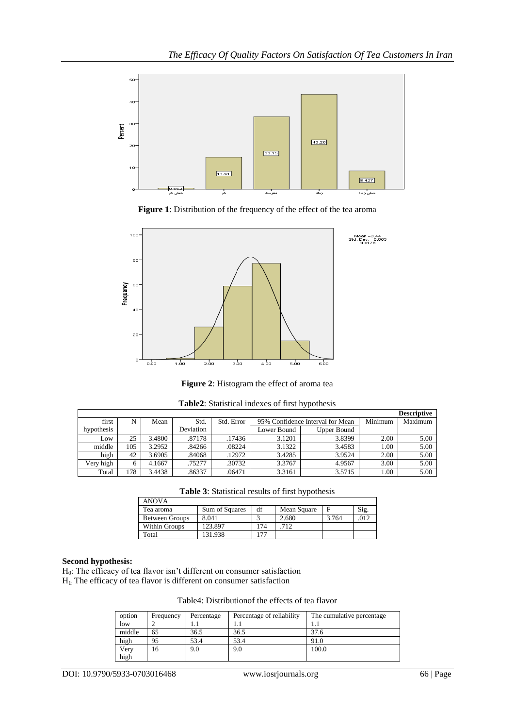

**Figure 1**: Distribution of the frequency of the effect of the tea aroma



**Figure 2**: Histogram the effect of aroma tea

|            |     |        |           |            |             |                                  |         | <b>Descriptive</b> |
|------------|-----|--------|-----------|------------|-------------|----------------------------------|---------|--------------------|
| first      | N   | Mean   | Std.      | Std. Error |             | 95% Confidence Interval for Mean | Minimum | Maximum            |
| hypothesis |     |        | Deviation |            | Lower Bound | Upper Bound                      |         |                    |
| Low        | 25  | 3.4800 | .87178    | .17436     | 3.1201      | 3.8399                           | 2.00    | 5.00               |
| middle     | 105 | 3.2952 | .84266    | .08224     | 3.1322      | 3.4583                           | 1.00    | 5.00               |
| high       | 42  | 3.6905 | .84068    | .12972     | 3.4285      | 3.9524                           | 2.00    | 5.00               |
| Very high  |     | 4.1667 | .75277    | .30732     | 3.3767      | 4.9567                           | 3.00    | 5.00               |
| Total      | 178 | 3.4438 | .86337    | .06471     | 3.3161      | 3.5715                           | 1.00    | 5.00               |

| Table2: Statistical indexes of first hypothesis |  |  |  |
|-------------------------------------------------|--|--|--|
|-------------------------------------------------|--|--|--|

**Table 3**: Statistical results of first hypothesis

| <b>ANOVA</b>   |                |    |             |       |     |
|----------------|----------------|----|-------------|-------|-----|
| Tea aroma      | Sum of Squares | df | Mean Square |       | Sig |
| Between Groups | 8.041          |    | 2.680       | 3.764 | 017 |
| Within Groups  | 123.897        | 74 | 712         |       |     |
| Total          | 131.938        |    |             |       |     |

# **Second hypothesis:**

H0: The efficacy of tea flavor isn't different on consumer satisfaction

H1: The efficacy of tea flavor is different on consumer satisfaction

| option | Frequency | Percentage | Percentage of reliability | The cumulative percentage |
|--------|-----------|------------|---------------------------|---------------------------|
| low    |           |            | 1.1                       |                           |
| middle | 65        | 36.5       | 36.5                      | 37.6                      |
| high   | 95        | 53.4       | 53.4                      | 91.0                      |
| Very   | 16        | 9.0        | 9.0                       | 100.0                     |
| high   |           |            |                           |                           |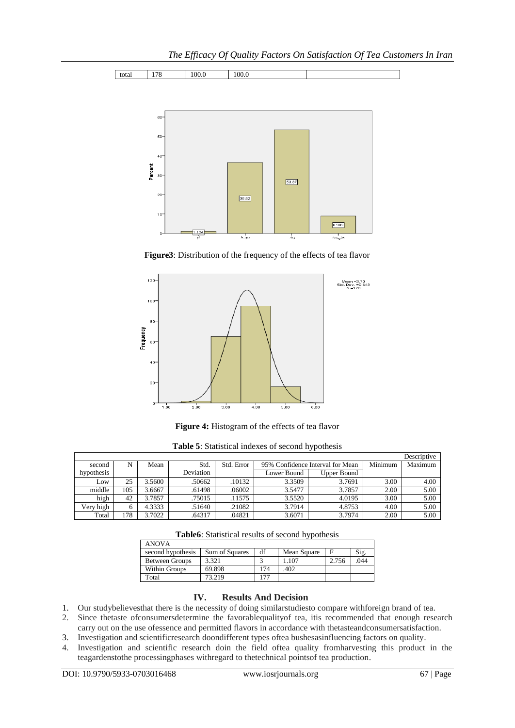



**Figure3**: Distribution of the frequency of the effects of tea flavor



**Figure 4:** Histogram of the effects of tea flavor

|            |     |        |           |            |             |                                  |         | Descriptive |
|------------|-----|--------|-----------|------------|-------------|----------------------------------|---------|-------------|
| second     | N   | Mean   | Std.      | Std. Error |             | 95% Confidence Interval for Mean | Minimum | Maximum     |
| hypothesis |     |        | Deviation |            | Lower Bound | <b>Upper Bound</b>               |         |             |
| Low        | 25  | 3.5600 | .50662    | .10132     | 3.3509      | 3.7691                           | 3.00    | 4.00        |
| middle     | 105 | 3.6667 | .61498    | .06002     | 3.5477      | 3.7857                           | 2.00    | 5.00        |
| high       | 42  | 3.7857 | .75015    | .11575     | 3.5520      | 4.0195                           | 3.00    | 5.00        |
| Very high  |     | 4.3333 | .51640    | .21082     | 3.7914      | 4.8753                           | 4.00    | 5.00        |
| Total      | 178 | 3.7022 | .64317    | .04821     | 3.6071      | 3.7974                           | 2.00    | 5.00        |

**Table6**: Statistical results of second hypothesis

| <b>ANOVA</b>      |                |     |             |       |      |
|-------------------|----------------|-----|-------------|-------|------|
| second hypothesis | Sum of Squares | df  | Mean Square |       | Sig. |
| Between Groups    | 3.321          |     | 1.107       | 2.756 | .044 |
| Within Groups     | 69.898         | 174 | .402        |       |      |
| Total             | 73.219         |     |             |       |      |

#### **IV. Results And Decision**

- 1. Our studybelievesthat there is the necessity of doing similarstudiesto compare withforeign brand of tea.
- 2. Since thetaste ofconsumersdetermine the favorablequalityof tea, itis recommended that enough research carry out on the use ofessence and permitted flavors in accordance with thetasteandconsumersatisfaction.
- 3. Investigation and scientificresearch doondifferent types oftea bushesasinfluencing factors on quality.
- 4. Investigation and scientific research doin the field oftea quality fromharvesting this product in the teagardenstothe processingphases withregard to thetechnical pointsof tea production.